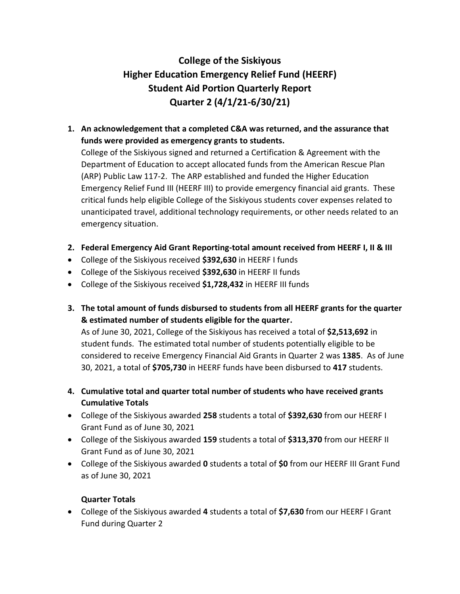# **College of the Siskiyous Higher Education Emergency Relief Fund (HEERF) Student Aid Portion Quarterly Report Quarter 2 (4/1/21-6/30/21)**

**1. An acknowledgement that a completed C&A was returned, and the assurance that funds were provided as emergency grants to students.**

College of the Siskiyous signed and returned a Certification & Agreement with the Department of Education to accept allocated funds from the American Rescue Plan (ARP) Public Law 117-2. The ARP established and funded the Higher Education Emergency Relief Fund III (HEERF III) to provide emergency financial aid grants. These critical funds help eligible College of the Siskiyous students cover expenses related to unanticipated travel, additional technology requirements, or other needs related to an emergency situation.

- **2. Federal Emergency Aid Grant Reporting-total amount received from HEERF I, II & III**
- College of the Siskiyous received **\$392,630** in HEERF I funds
- College of the Siskiyous received **\$392,630** in HEERF II funds
- College of the Siskiyous received **\$1,728,432** in HEERF III funds
- **3. The total amount of funds disbursed to students from all HEERF grants for the quarter & estimated number of students eligible for the quarter.** As of June 30, 2021, College of the Siskiyous has received a total of **\$2,513,692** in student funds. The estimated total number of students potentially eligible to be considered to receive Emergency Financial Aid Grants in Quarter 2 was **1385**. As of June 30, 2021, a total of **\$705,730** in HEERF funds have been disbursed to **417** students.
- **4. Cumulative total and quarter total number of students who have received grants Cumulative Totals**
- College of the Siskiyous awarded **258** students a total of **\$392,630** from our HEERF I Grant Fund as of June 30, 2021
- College of the Siskiyous awarded **159** students a total of **\$313,370** from our HEERF II Grant Fund as of June 30, 2021
- College of the Siskiyous awarded **0** students a total of **\$0** from our HEERF III Grant Fund as of June 30, 2021

#### **Quarter Totals**

 College of the Siskiyous awarded **4** students a total of **\$7,630** from our HEERF I Grant Fund during Quarter 2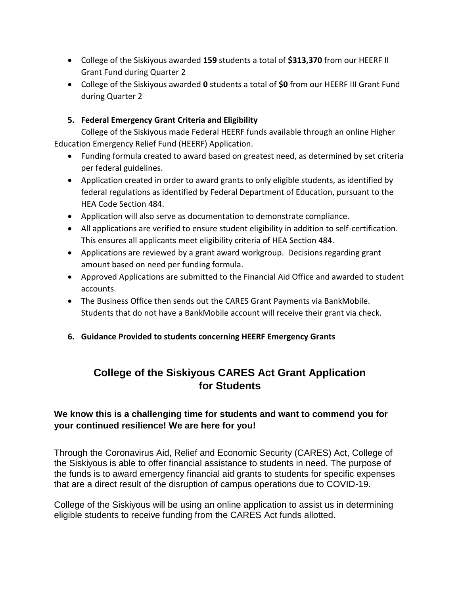- College of the Siskiyous awarded **159** students a total of **\$313,370** from our HEERF II Grant Fund during Quarter 2
- College of the Siskiyous awarded **0** students a total of **\$0** from our HEERF III Grant Fund during Quarter 2

#### **5. Federal Emergency Grant Criteria and Eligibility**

College of the Siskiyous made Federal HEERF funds available through an online Higher Education Emergency Relief Fund (HEERF) Application.

- Funding formula created to award based on greatest need, as determined by set criteria per federal guidelines.
- Application created in order to award grants to only eligible students, as identified by federal regulations as identified by Federal Department of Education, pursuant to the HEA Code Section 484.
- Application will also serve as documentation to demonstrate compliance.
- All applications are verified to ensure student eligibility in addition to self-certification. This ensures all applicants meet eligibility criteria of HEA Section 484.
- Applications are reviewed by a grant award workgroup. Decisions regarding grant amount based on need per funding formula.
- Approved Applications are submitted to the Financial Aid Office and awarded to student accounts.
- The Business Office then sends out the CARES Grant Payments via BankMobile. Students that do not have a BankMobile account will receive their grant via check.
- **6. Guidance Provided to students concerning HEERF Emergency Grants**

## **College of the Siskiyous CARES Act Grant Application for Students**

### **We know this is a challenging time for students and want to commend you for your continued resilience! We are here for you!**

Through the Coronavirus Aid, Relief and Economic Security (CARES) Act, College of the Siskiyous is able to offer financial assistance to students in need. The purpose of the funds is to award emergency financial aid grants to students for specific expenses that are a direct result of the disruption of campus operations due to COVID-19.

College of the Siskiyous will be using an online application to assist us in determining eligible students to receive funding from the CARES Act funds allotted.